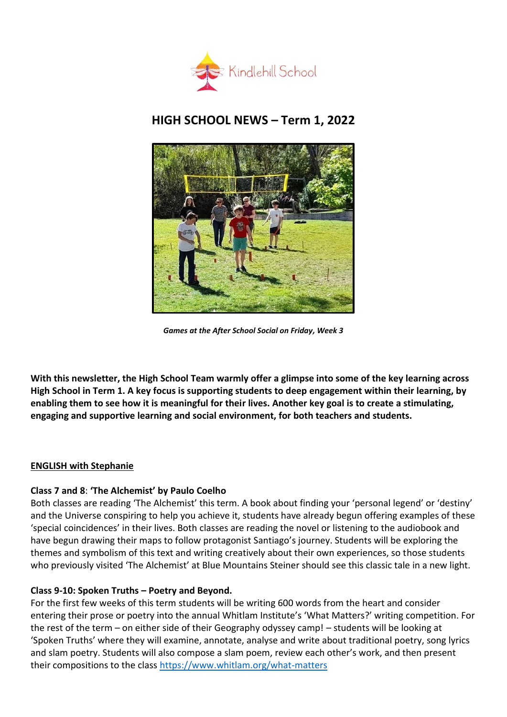

# **HIGH SCHOOL NEWS – Term 1, 2022**



*Games at the After School Social on Friday, Week 3*

**With this newsletter, the High School Team warmly offer a glimpse into some of the key learning across High School in Term 1. A key focus is supporting students to deep engagement within their learning, by enabling them to see how it is meaningful for their lives. Another key goal is to create a stimulating, engaging and supportive learning and social environment, for both teachers and students.**

## **ENGLISH with Stephanie**

## **Class 7 and 8**: **'The Alchemist' by Paulo Coelho**

Both classes are reading 'The Alchemist' this term. A book about finding your 'personal legend' or 'destiny' and the Universe conspiring to help you achieve it, students have already begun offering examples of these 'special coincidences' in their lives. Both classes are reading the novel or listening to the audiobook and have begun drawing their maps to follow protagonist Santiago's journey. Students will be exploring the themes and symbolism of this text and writing creatively about their own experiences, so those students who previously visited 'The Alchemist' at Blue Mountains Steiner should see this classic tale in a new light.

## **Class 9-10: Spoken Truths – Poetry and Beyond.**

For the first few weeks of this term students will be writing 600 words from the heart and consider entering their prose or poetry into the annual Whitlam Institute's 'What Matters?' writing competition. For the rest of the term – on either side of their Geography odyssey camp! – students will be looking at 'Spoken Truths' where they will examine, annotate, analyse and write about traditional poetry, song lyrics and slam poetry. Students will also compose a slam poem, review each other's work, and then present their compositions to the class<https://www.whitlam.org/what-matters>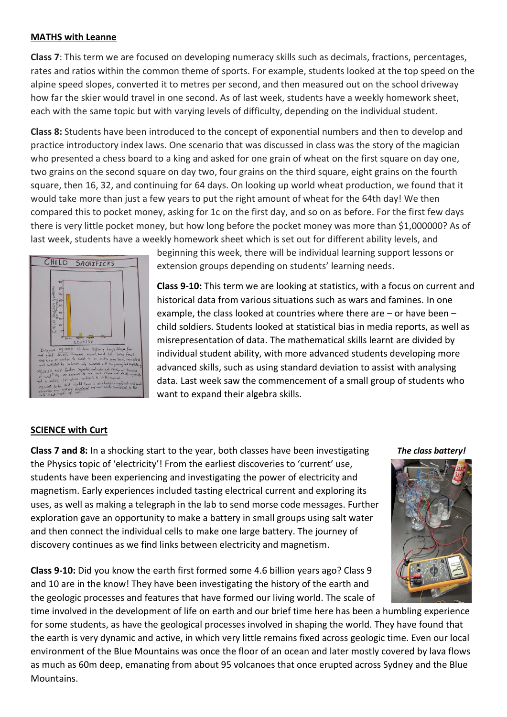#### **MATHS with Leanne**

**Class 7**: This term we are focused on developing numeracy skills such as decimals, fractions, percentages, rates and ratios within the common theme of sports. For example, students looked at the top speed on the alpine speed slopes, converted it to metres per second, and then measured out on the school driveway how far the skier would travel in one second. As of last week, students have a weekly homework sheet, each with the same topic but with varying levels of difficulty, depending on the individual student.

**Class 8:** Students have been introduced to the concept of exponential numbers and then to develop and practice introductory index laws. One scenario that was discussed in class was the story of the magician who presented a chess board to a king and asked for one grain of wheat on the first square on day one, two grains on the second square on day two, four grains on the third square, eight grains on the fourth square, then 16, 32, and continuing for 64 days. On looking up world wheat production, we found that it would take more than just a few years to put the right amount of wheat for the 64th day! We then compared this to pocket money, asking for 1c on the first day, and so on as before. For the first few days there is very little pocket money, but how long before the pocket money was more than \$1,000000? As of last week, students have a weekly homework sheet which is set out for different ability levels, and



beginning this week, there will be individual learning support lessons or extension groups depending on students' learning needs.

**Class 9-10:** This term we are looking at statistics, with a focus on current and historical data from various situations such as wars and famines. In one example, the class looked at countries where there are – or have been – child soldiers. Students looked at statistical bias in media reports, as well as misrepresentation of data. The mathematical skills learnt are divided by individual student ability, with more advanced students developing more advanced skills, such as using standard deviation to assist with analysing data. Last week saw the commencement of a small group of students who want to expand their algebra skills.

#### **SCIENCE with Curt**

**Class 7 and 8:** In a shocking start to the year, both classes have been investigating *The class battery!* the Physics topic of 'electricity'! From the earliest discoveries to 'current' use, students have been experiencing and investigating the power of electricity and magnetism. Early experiences included tasting electrical current and exploring its uses, as well as making a telegraph in the lab to send morse code messages. Further exploration gave an opportunity to make a battery in small groups using salt water and then connect the individual cells to make one large battery. The journey of discovery continues as we find links between electricity and magnetism.

**Class 9-10:** Did you know the earth first formed some 4.6 billion years ago? Class 9 and 10 are in the know! They have been investigating the history of the earth and the geologic processes and features that have formed our living world. The scale of

time involved in the development of life on earth and our brief time here has been a humbling experience for some students, as have the geological processes involved in shaping the world. They have found that the earth is very dynamic and active, in which very little remains fixed across geologic time. Even our local environment of the Blue Mountains was once the floor of an ocean and later mostly covered by lava flows as much as 60m deep, emanating from about 95 volcanoes that once erupted across Sydney and the Blue Mountains.

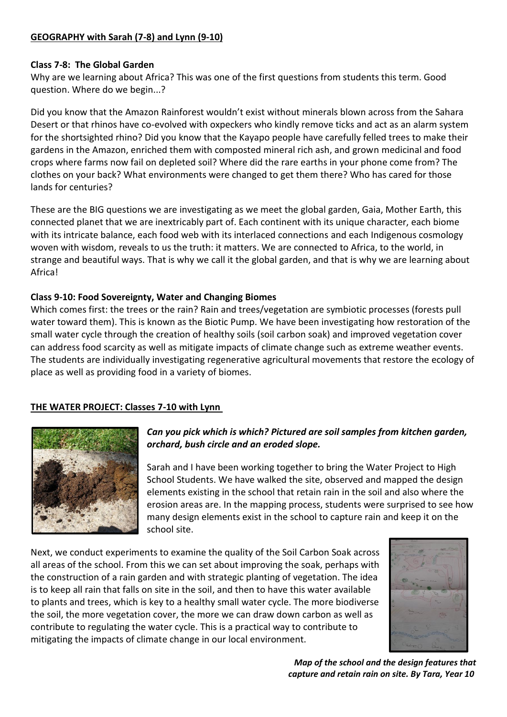# **GEOGRAPHY with Sarah (7-8) and Lynn (9-10)**

## **Class 7-8: The Global Garden**

Why are we learning about Africa? This was one of the first questions from students this term. Good question. Where do we begin...?

Did you know that the Amazon Rainforest wouldn't exist without minerals blown across from the Sahara Desert or that rhinos have co-evolved with oxpeckers who kindly remove ticks and act as an alarm system for the shortsighted rhino? Did you know that the Kayapo people have carefully felled trees to make their gardens in the Amazon, enriched them with composted mineral rich ash, and grown medicinal and food crops where farms now fail on depleted soil? Where did the rare earths in your phone come from? The clothes on your back? What environments were changed to get them there? Who has cared for those lands for centuries?

These are the BIG questions we are investigating as we meet the global garden, Gaia, Mother Earth, this connected planet that we are inextricably part of. Each continent with its unique character, each biome with its intricate balance, each food web with its interlaced connections and each Indigenous cosmology woven with wisdom, reveals to us the truth: it matters. We are connected to Africa, to the world, in strange and beautiful ways. That is why we call it the global garden, and that is why we are learning about Africa!

## **Class 9-10: Food Sovereignty, Water and Changing Biomes**

Which comes first: the trees or the rain? Rain and trees/vegetation are symbiotic processes (forests pull water toward them). This is known as the Biotic Pump. We have been investigating how restoration of the small water cycle through the creation of healthy soils (soil carbon soak) and improved vegetation cover can address food scarcity as well as mitigate impacts of climate change such as extreme weather events. The students are individually investigating regenerative agricultural movements that restore the ecology of place as well as providing food in a variety of biomes.

## **THE WATER PROJECT: Classes 7-10 with Lynn**



#### *Can you pick which is which? Pictured are soil samples from kitchen garden, orchard, bush circle and an eroded slope.*

Sarah and I have been working together to bring the Water Project to High School Students. We have walked the site, observed and mapped the design elements existing in the school that retain rain in the soil and also where the erosion areas are. In the mapping process, students were surprised to see how many design elements exist in the school to capture rain and keep it on the school site.

Next, we conduct experiments to examine the quality of the Soil Carbon Soak across all areas of the school. From this we can set about improving the soak, perhaps with the construction of a rain garden and with strategic planting of vegetation. The idea is to keep all rain that falls on site in the soil, and then to have this water available to plants and trees, which is key to a healthy small water cycle. The more biodiverse the soil, the more vegetation cover, the more we can draw down carbon as well as contribute to regulating the water cycle. This is a practical way to contribute to mitigating the impacts of climate change in our local environment.



*Map of the school and the design features that capture and retain rain on site. By Tara, Year 10*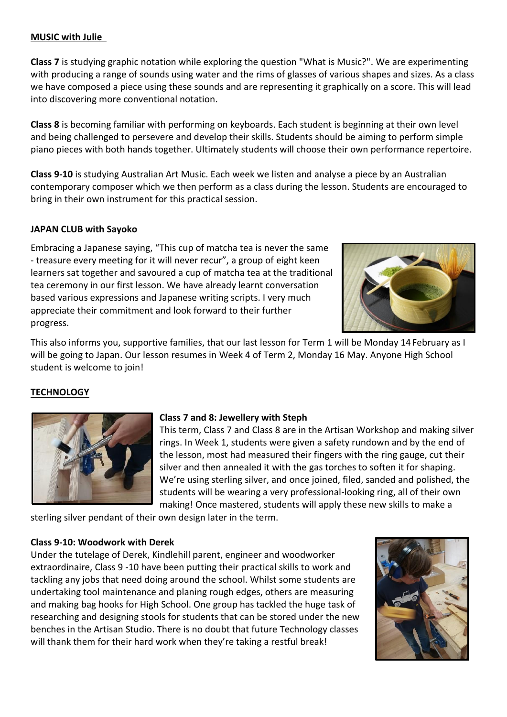#### **MUSIC with Julie**

**Class 7** is studying graphic notation while exploring the question "What is Music?". We are experimenting with producing a range of sounds using water and the rims of glasses of various shapes and sizes. As a class we have composed a piece using these sounds and are representing it graphically on a score. This will lead into discovering more conventional notation.

**Class 8** is becoming familiar with performing on keyboards. Each student is beginning at their own level and being challenged to persevere and develop their skills. Students should be aiming to perform simple piano pieces with both hands together. Ultimately students will choose their own performance repertoire.

**Class 9-10** is studying Australian Art Music. Each week we listen and analyse a piece by an Australian contemporary composer which we then perform as a class during the lesson. Students are encouraged to bring in their own instrument for this practical session.

## **JAPAN CLUB with Sayoko**

Embracing a Japanese saying, "This cup of matcha tea is never the same - treasure every meeting for it will never recur", a group of eight keen learners sat together and savoured a cup of matcha tea at the traditional tea ceremony in our first lesson. We have already learnt conversation based various expressions and Japanese writing scripts. I very much appreciate their commitment and look forward to their further progress.



This also informs you, supportive families, that our last lesson for Term 1 will be Monday 14February as I will be going to Japan. Our lesson resumes in Week 4 of Term 2, Monday 16 May. Anyone High School student is welcome to join!

## **TECHNOLOGY**



## **Class 7 and 8: Jewellery with Steph**

This term, Class 7 and Class 8 are in the Artisan Workshop and making silver rings. In Week 1, students were given a safety rundown and by the end of the lesson, most had measured their fingers with the ring gauge, cut their silver and then annealed it with the gas torches to soften it for shaping. We're using sterling silver, and once joined, filed, sanded and polished, the students will be wearing a very professional-looking ring, all of their own making! Once mastered, students will apply these new skills to make a

sterling silver pendant of their own design later in the term.  

#### **Class 9-10: Woodwork with Derek**

Under the tutelage of Derek, Kindlehill parent, engineer and woodworker extraordinaire, Class 9 -10 have been putting their practical skills to work and tackling any jobs that need doing around the school. Whilst some students are undertaking tool maintenance and planing rough edges, others are measuring and making bag hooks for High School. One group has tackled the huge task of researching and designing stools for students that can be stored under the new benches in the Artisan Studio. There is no doubt that future Technology classes will thank them for their hard work when they're taking a restful break!

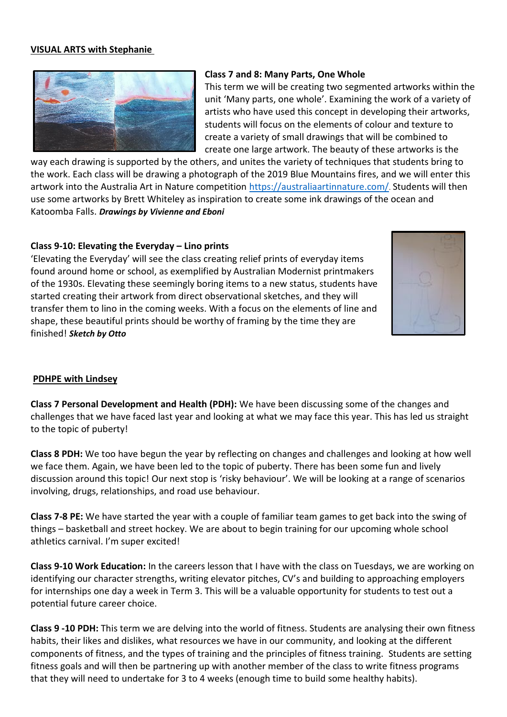#### **VISUAL ARTS with Stephanie**



#### **Class 7 and 8: Many Parts, One Whole**

This term we will be creating two segmented artworks within the unit 'Many parts, one whole'. Examining the work of a variety of artists who have used this concept in developing their artworks, students will focus on the elements of colour and texture to create a variety of small drawings that will be combined to create one large artwork. The beauty of these artworks is the

way each drawing is supported by the others, and unites the variety of techniques that students bring to the work. Each class will be drawing a photograph of the 2019 Blue Mountains fires, and we will enter this artwork into the Australia Art in Nature competition<https://australiaartinnature.com/>. Students will then use some artworks by Brett Whiteley as inspiration to create some ink drawings of the ocean and Katoomba Falls. *Drawings by Vivienne and Eboni*

#### **Class 9-10: Elevating the Everyday – Lino prints**

'Elevating the Everyday' will see the class creating relief prints of everyday items found around home or school, as exemplified by Australian Modernist printmakers of the 1930s. Elevating these seemingly boring items to a new status, students have started creating their artwork from direct observational sketches, and they will transfer them to lino in the coming weeks. With a focus on the elements of line and shape, these beautiful prints should be worthy of framing by the time they are finished! *Sketch by Otto*



#### **PDHPE with Lindsey**

**Class 7 Personal Development and Health (PDH):** We have been discussing some of the changes and challenges that we have faced last year and looking at what we may face this year. This has led us straight to the topic of puberty!

**Class 8 PDH:** We too have begun the year by reflecting on changes and challenges and looking at how well we face them. Again, we have been led to the topic of puberty. There has been some fun and lively discussion around this topic! Our next stop is 'risky behaviour'. We will be looking at a range of scenarios involving, drugs, relationships, and road use behaviour.

**Class 7-8 PE:** We have started the year with a couple of familiar team games to get back into the swing of things – basketball and street hockey. We are about to begin training for our upcoming whole school athletics carnival. I'm super excited!

**Class 9-10 Work Education:** In the careers lesson that I have with the class on Tuesdays, we are working on identifying our character strengths, writing elevator pitches, CV's and building to approaching employers for internships one day a week in Term 3. This will be a valuable opportunity for students to test out a potential future career choice.

**Class 9 -10 PDH:** This term we are delving into the world of fitness. Students are analysing their own fitness habits, their likes and dislikes, what resources we have in our community, and looking at the different components of fitness, and the types of training and the principles of fitness training. Students are setting fitness goals and will then be partnering up with another member of the class to write fitness programs that they will need to undertake for 3 to 4 weeks (enough time to build some healthy habits).